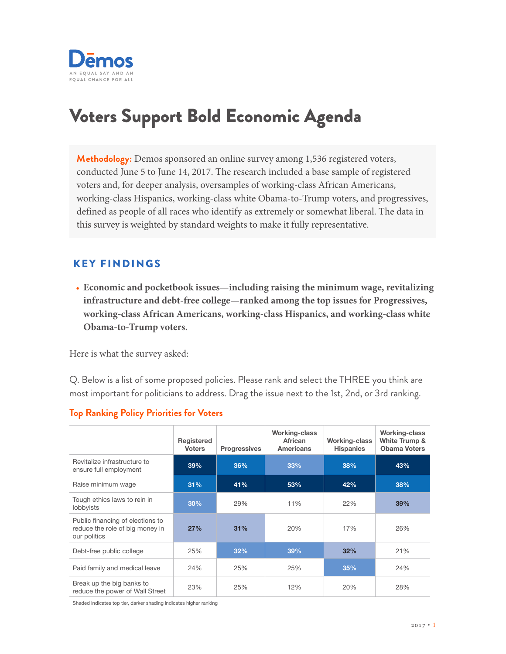

# Voters Support Bold Economic Agenda

**Methodology:** Demos sponsored an online survey among 1,536 registered voters, conducted June 5 to June 14, 2017. The research included a base sample of registered voters and, for deeper analysis, oversamples of working-class African Americans, working-class Hispanics, working-class white Obama-to-Trump voters, and progressives, defined as people of all races who identify as extremely or somewhat liberal. The data in this survey is weighted by standard weights to make it fully representative.

# KEY FINDINGS

• **Economic and pocketbook issues—including raising the minimum wage, revitalizing infrastructure and debt-free college—ranked among the top issues for Progressives, working-class African Americans, working-class Hispanics, and working-class white Obama-to-Trump voters.** 

Here is what the survey asked:

Q. Below is a list of some proposed policies. Please rank and select the THREE you think are most important for politicians to address. Drag the issue next to the 1st, 2nd, or 3rd ranking.

|                                                                                     | Registered<br><b>Voters</b> | <b>Progressives</b> | <b>Working-class</b><br>African<br><b>Americans</b> | <b>Working-class</b><br><b>Hispanics</b> | Working-class<br>White Trump &<br><b>Obama Voters</b> |
|-------------------------------------------------------------------------------------|-----------------------------|---------------------|-----------------------------------------------------|------------------------------------------|-------------------------------------------------------|
| Revitalize infrastructure to<br>ensure full employment                              | 39%                         | 36%                 | 33%                                                 | 38%                                      | 43%                                                   |
| Raise minimum wage                                                                  | 31%                         | 41%                 | 53%                                                 | 42%                                      | 38%                                                   |
| Tough ethics laws to rein in<br>lobbyists                                           | 30%                         | 29%                 | 11%                                                 | 22%                                      | 39%                                                   |
| Public financing of elections to<br>reduce the role of big money in<br>our politics | 27%                         | 31%                 | 20%                                                 | 17%                                      | 26%                                                   |
| Debt-free public college                                                            | 25%                         | 32%                 | 39%                                                 | 32%                                      | 21%                                                   |
| Paid family and medical leave                                                       | 24%                         | 25%                 | 25%                                                 | 35%                                      | 24%                                                   |
| Break up the big banks to<br>reduce the power of Wall Street                        | 23%                         | 25%                 | 12%                                                 | 20%                                      | 28%                                                   |

## **Top Ranking Policy Priorities for Voters**

Shaded indicates top tier, darker shading indicates higher ranking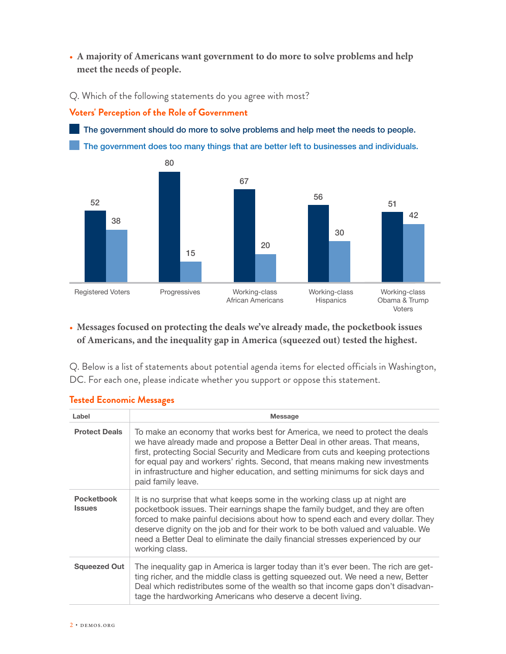• **A majority of Americans want government to do more to solve problems and help meet the needs of people.**

Q. Which of the following statements do you agree with most?

## **Voters' Perception of the Role of Government**

The government should do more to solve problems and help meet the needs to people. The government does too many things that are better left to businesses and individuals.



# • **Messages focused on protecting the deals we've already made, the pocketbook issues of Americans, and the inequality gap in America (squeezed out) tested the highest.**

Q. Below is a list of statements about potential agenda items for elected officials in Washington, DC. For each one, please indicate whether you support or oppose this statement.

| Label                              | <b>Message</b>                                                                                                                                                                                                                                                                                                                                                                                                                           |
|------------------------------------|------------------------------------------------------------------------------------------------------------------------------------------------------------------------------------------------------------------------------------------------------------------------------------------------------------------------------------------------------------------------------------------------------------------------------------------|
| <b>Protect Deals</b>               | To make an economy that works best for America, we need to protect the deals<br>we have already made and propose a Better Deal in other areas. That means,<br>first, protecting Social Security and Medicare from cuts and keeping protections<br>for equal pay and workers' rights. Second, that means making new investments<br>in infrastructure and higher education, and setting minimums for sick days and<br>paid family leave.   |
| <b>Pocketbook</b><br><b>Issues</b> | It is no surprise that what keeps some in the working class up at night are<br>pocketbook issues. Their earnings shape the family budget, and they are often<br>forced to make painful decisions about how to spend each and every dollar. They<br>deserve dignity on the job and for their work to be both valued and valuable. We<br>need a Better Deal to eliminate the daily financial stresses experienced by our<br>working class. |
| <b>Squeezed Out</b>                | The inequality gap in America is larger today than it's ever been. The rich are get-<br>ting richer, and the middle class is getting squeezed out. We need a new, Better<br>Deal which redistributes some of the wealth so that income gaps don't disadvan-<br>tage the hardworking Americans who deserve a decent living.                                                                                                               |

## **Tested Economic Messages**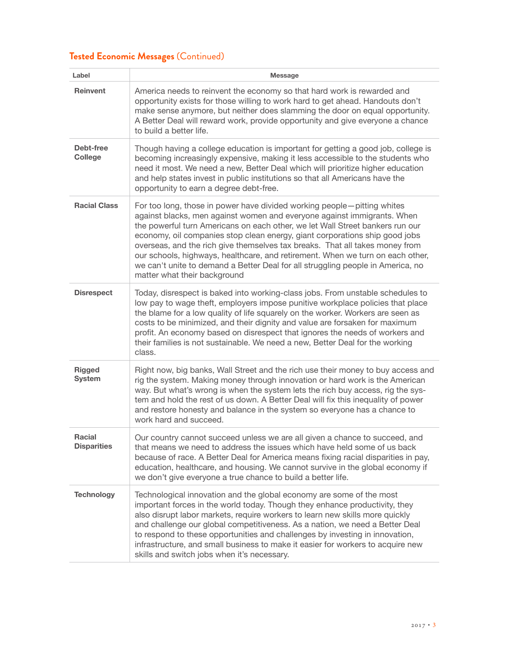# **Tested Economic Messages** (Continued)

| Label                               | <b>Message</b>                                                                                                                                                                                                                                                                                                                                                                                                                                                                                                                                                                                          |
|-------------------------------------|---------------------------------------------------------------------------------------------------------------------------------------------------------------------------------------------------------------------------------------------------------------------------------------------------------------------------------------------------------------------------------------------------------------------------------------------------------------------------------------------------------------------------------------------------------------------------------------------------------|
| <b>Reinvent</b>                     | America needs to reinvent the economy so that hard work is rewarded and<br>opportunity exists for those willing to work hard to get ahead. Handouts don't<br>make sense anymore, but neither does slamming the door on equal opportunity.<br>A Better Deal will reward work, provide opportunity and give everyone a chance<br>to build a better life.                                                                                                                                                                                                                                                  |
| Debt-free<br><b>College</b>         | Though having a college education is important for getting a good job, college is<br>becoming increasingly expensive, making it less accessible to the students who<br>need it most. We need a new, Better Deal which will prioritize higher education<br>and help states invest in public institutions so that all Americans have the<br>opportunity to earn a degree debt-free.                                                                                                                                                                                                                       |
| <b>Racial Class</b>                 | For too long, those in power have divided working people-pitting whites<br>against blacks, men against women and everyone against immigrants. When<br>the powerful turn Americans on each other, we let Wall Street bankers run our<br>economy, oil companies stop clean energy, giant corporations ship good jobs<br>overseas, and the rich give themselves tax breaks. That all takes money from<br>our schools, highways, healthcare, and retirement. When we turn on each other,<br>we can't unite to demand a Better Deal for all struggling people in America, no<br>matter what their background |
| <b>Disrespect</b>                   | Today, disrespect is baked into working-class jobs. From unstable schedules to<br>low pay to wage theft, employers impose punitive workplace policies that place<br>the blame for a low quality of life squarely on the worker. Workers are seen as<br>costs to be minimized, and their dignity and value are forsaken for maximum<br>profit. An economy based on disrespect that ignores the needs of workers and<br>their families is not sustainable. We need a new, Better Deal for the working<br>class.                                                                                           |
| <b>Rigged</b><br><b>System</b>      | Right now, big banks, Wall Street and the rich use their money to buy access and<br>rig the system. Making money through innovation or hard work is the American<br>way. But what's wrong is when the system lets the rich buy access, rig the sys-<br>tem and hold the rest of us down. A Better Deal will fix this inequality of power<br>and restore honesty and balance in the system so everyone has a chance to<br>work hard and succeed.                                                                                                                                                         |
| <b>Racial</b><br><b>Disparities</b> | Our country cannot succeed unless we are all given a chance to succeed, and<br>that means we need to address the issues which have held some of us back<br>because of race. A Better Deal for America means fixing racial disparities in pay,<br>education, healthcare, and housing. We cannot survive in the global economy if<br>we don't give everyone a true chance to build a better life.                                                                                                                                                                                                         |
| <b>Technology</b>                   | Technological innovation and the global economy are some of the most<br>important forces in the world today. Though they enhance productivity, they<br>also disrupt labor markets, require workers to learn new skills more quickly<br>and challenge our global competitiveness. As a nation, we need a Better Deal<br>to respond to these opportunities and challenges by investing in innovation,<br>infrastructure, and small business to make it easier for workers to acquire new<br>skills and switch jobs when it's necessary.                                                                   |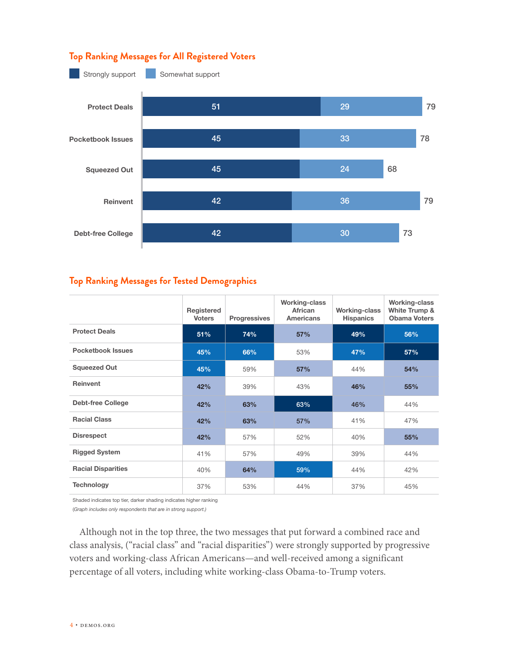## **Top Ranking Messages for All Registered Voters**



## **Top Ranking Messages for Tested Demographics**

|                           | Registered<br><b>Voters</b> | <b>Progressives</b> | <b>Working-class</b><br>African<br><b>Americans</b> | <b>Working-class</b><br><b>Hispanics</b> | Working-class<br>White Trump &<br><b>Obama Voters</b> |
|---------------------------|-----------------------------|---------------------|-----------------------------------------------------|------------------------------------------|-------------------------------------------------------|
| <b>Protect Deals</b>      | 51%                         | 74%                 | 57%                                                 | 49%                                      | 56%                                                   |
| <b>Pocketbook Issues</b>  | 45%                         | 66%                 | 53%                                                 | 47%                                      | 57%                                                   |
| <b>Squeezed Out</b>       | 45%                         | 59%                 | 57%                                                 | 44%                                      | 54%                                                   |
| <b>Reinvent</b>           | 42%                         | 39%                 | 43%                                                 | 46%                                      | 55%                                                   |
| <b>Debt-free College</b>  | 42%                         | 63%                 | 63%                                                 | 46%                                      | 44%                                                   |
| <b>Racial Class</b>       | 42%                         | 63%                 | 57%                                                 | 41%                                      | 47%                                                   |
| <b>Disrespect</b>         | 42%                         | 57%                 | 52%                                                 | 40%                                      | 55%                                                   |
| <b>Rigged System</b>      | 41%                         | 57%                 | 49%                                                 | 39%                                      | 44%                                                   |
| <b>Racial Disparities</b> | 40%                         | 64%                 | 59%                                                 | 44%                                      | 42%                                                   |
| <b>Technology</b>         | 37%                         | 53%                 | 44%                                                 | 37%                                      | 45%                                                   |

Shaded indicates top tier, darker shading indicates higher ranking

(*Graph includes only respondents that are in strong support.)*

Although not in the top three, the two messages that put forward a combined race and class analysis, ("racial class" and "racial disparities") were strongly supported by progressive voters and working-class African Americans—and well-received among a significant percentage of all voters, including white working-class Obama-to-Trump voters.